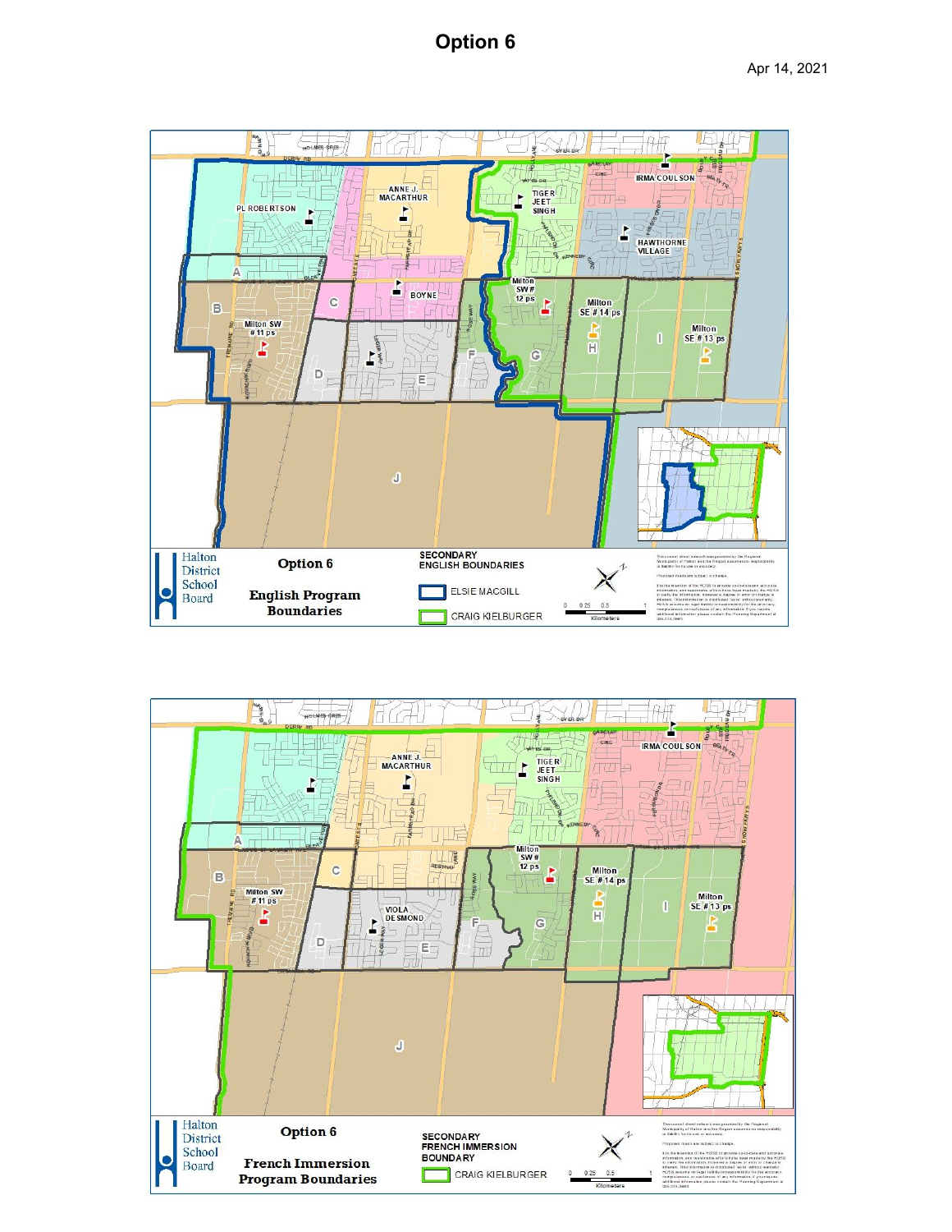# **Option 6**



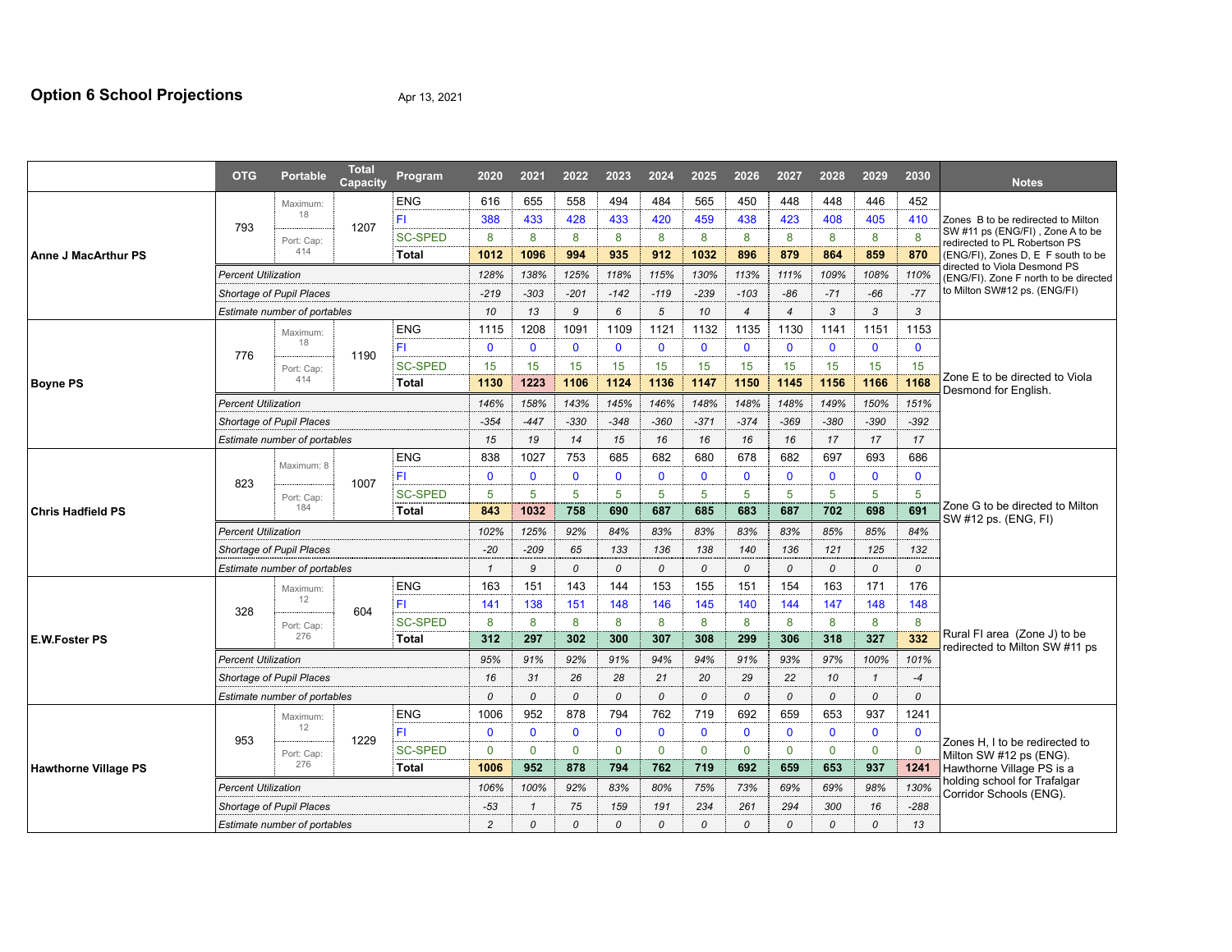## **Option 6 School Projections** Apr 13, 2021

|                             | <b>OTG</b>                 | <b>Portable</b>                 | <b>Total</b><br>Capacity | Program        | 2020         | 2021         | 2022        | 2023          | 2024          | 2025         | 2026           | 2027           | 2028          | 2029           | 2030          | <b>Notes</b>                                                          |  |
|-----------------------------|----------------------------|---------------------------------|--------------------------|----------------|--------------|--------------|-------------|---------------|---------------|--------------|----------------|----------------|---------------|----------------|---------------|-----------------------------------------------------------------------|--|
|                             |                            | Maximum:                        |                          | <b>ENG</b>     | 616          | 655          | 558         | 494           | 484           | 565          | 450            | 448            | 448           | 446            | 452           |                                                                       |  |
|                             |                            | 18                              |                          | FI.            | 388          | 433          | 428         | 433           | 420           | 459          | 438            | 423            | 408           | 405            | 410           | Zones B to be redirected to Milton                                    |  |
|                             | 793                        | Port: Cap:                      | 1207                     | <b>SC-SPED</b> | 8            | 8            | 8           | 8             | 8             | 8            | 8              | 8              | 8             | 8              | 8             | SW #11 ps (ENG/FI), Zone A to be<br>redirected to PL Robertson PS     |  |
| Anne J MacArthur PS         |                            | 414                             |                          | Total          | 1012         | 1096         | 994         | 935           | 912           | 1032         | 896            | 879            | 864           | 859            | 870           | (ENG/FI), Zones D, E F south to be                                    |  |
|                             |                            | <b>Percent Utilization</b>      |                          |                | 128%         | 138%         | 125%        | 118%          | 115%          | 130%         | 113%           | 111%           | 109%          | 108%           | 110%          | directed to Viola Desmond PS<br>(ENG/FI). Zone F north to be directed |  |
|                             |                            | Shortage of Pupil Places        |                          |                |              | $-303$       | $-201$      | $-142$        | $-119$        | $-239$       | $-103$         | $-86$          | $-71$         | $-66$          | $-77$         | to Milton SW#12 ps. (ENG/FI)                                          |  |
|                             |                            | Estimate number of portables    |                          |                | 10           | 13           | 9           | 6             | 5             | 10           | $\overline{4}$ | $\overline{4}$ | 3             | 3              | 3             |                                                                       |  |
|                             |                            | Maximum:                        |                          | <b>ENG</b>     | 1115         | 1208         | 1091        | 1109          | 1121          | 1132         | 1135           | 1130           | 1141          | 1151           | 1153          |                                                                       |  |
|                             | 776                        | 18                              | 1190                     | FI.            | $\mathbf{0}$ | $\mathbf{0}$ | $\mathbf 0$ | $\mathbf{0}$  | $\mathbf{0}$  | $\mathbf{0}$ | $\mathbf{0}$   | $\mathbf{0}$   | $\mathbf{0}$  | $\mathbf{0}$   | $\mathbf{0}$  |                                                                       |  |
|                             |                            | Port: Cap:                      |                          | <b>SC-SPED</b> | 15           | 15           | 15          | 15            | 15            | 15           | 15             | 15             | 15            | 15             | 15            |                                                                       |  |
| <b>Boyne PS</b>             |                            | 414                             |                          | <b>Total</b>   | 1130         | 1223         | 1106        | 1124          | 1136          | 1147         | 1150           | 1145           | 1156          | 1166           | 1168          | Zone E to be directed to Viola<br>Desmond for English.                |  |
|                             | <b>Percent Utilization</b> |                                 |                          |                | 146%         | 158%         | 143%        | 145%          | 146%          | 148%         | 148%           | 148%           | 149%          | 150%           | 151%          |                                                                       |  |
|                             | Shortage of Pupil Places   |                                 |                          |                |              | $-447$       | $-330$      | $-348$        | $-360$        | $-371$       | $-374$         | $-369$         | $-380$        | $-390$         | $-392$        |                                                                       |  |
|                             |                            | Estimate number of portables    |                          |                | 15           | 19           | 14          | 15            | 16            | 16           | 16             | 16             | 17            | 17             | 17            |                                                                       |  |
|                             |                            | Maximum: 8                      |                          | <b>ENG</b>     | 838          | 1027         | 753         | 685           | 682           | 680          | 678            | 682            | 697           | 693            | 686           |                                                                       |  |
|                             | 823                        | Port: Cap:                      | 1007                     | FI.            | $\mathbf{0}$ | $\mathbf{0}$ | $\mathbf 0$ | $\mathbf{0}$  | $\mathbf 0$   | $\mathbf{0}$ | $\mathbf{0}$   | $\mathbf{0}$   | $\mathbf{0}$  | $\mathbf{0}$   | $\mathbf{0}$  |                                                                       |  |
|                             |                            |                                 |                          | <b>SC-SPED</b> | 5            | 5            | 5           | 5             | 5             | 5            | 5              | 5              | 5             | 5              | 5             |                                                                       |  |
| <b>Chris Hadfield PS</b>    |                            | 184                             |                          | Total          | 843          | 1032         | 758         | 690           | 687           | 685          | 683            | 687            | 702           | 698            | 691           | Zone G to be directed to Milton<br>SW #12 ps. (ENG, FI)               |  |
|                             |                            | <b>Percent Utilization</b>      |                          |                |              |              | 92%         | 84%           | 83%           | 83%          | 83%            | 83%            | 85%           | 85%            | 84%           |                                                                       |  |
|                             |                            | Shortage of Pupil Places        |                          |                |              | $-209$       | 65          | 133           | 136           | 138          | 140            | 136            | 121           | 125            | 132           |                                                                       |  |
|                             |                            | Estimate number of portables    |                          |                | $\mathbf{1}$ | 9            | 0           | $\Omega$      | $\mathcal{O}$ | 0            | 0              | 0              | 0             | 0              | 0             |                                                                       |  |
|                             |                            | Maximum:                        |                          | <b>ENG</b>     | 163          | 151          | 143         | 144           | 153           | 155          | 151            | 154            | 163           | 171            | 176           |                                                                       |  |
|                             | 328                        | 12                              | 604                      | FI.            | 141          | 138          | 151         | 148           | 146           | 145          | 140            | 144            | 147           | 148            | 148           |                                                                       |  |
|                             |                            | Port: Cap:                      |                          | <b>SC-SPED</b> | 8            | 8            | 8           | 8             | 8             | 8            | 8              | 8              | 8             | 8              | 8             |                                                                       |  |
| <b>E.W.Foster PS</b>        |                            | 276                             |                          | Total          | 312          | 297          | 302         | 300           | 307           | 308          | 299            | 306            | 318           | 327            | 332           | Rural FI area (Zone J) to be<br>redirected to Milton SW #11 ps        |  |
|                             |                            | <b>Percent Utilization</b>      |                          |                |              | 91%          | 92%         | 91%           | 94%           | 94%          | 91%            | 93%            | 97%           | 100%           | 101%          |                                                                       |  |
|                             |                            | Shortage of Pupil Places        |                          |                |              |              | 26          | 28            | 21            | 20           | 29             | 22             | 10            | $\overline{1}$ | $-4$          |                                                                       |  |
|                             |                            | Estimate number of portables    |                          |                |              |              | $\Omega$    | $\mathcal{O}$ | $\mathcal{O}$ | 0            | $\mathcal{O}$  | 0              | $\mathcal{O}$ | 0              | $\mathcal{O}$ |                                                                       |  |
|                             |                            | Maximum:<br>12<br>Port: Cap:    |                          | <b>ENG</b>     | 1006         | 952          | 878         | 794           | 762           | 719          | 692            | 659            | 653           | 937            | 1241          |                                                                       |  |
|                             | 953                        |                                 | 1229                     | FI.            | $\mathbf{0}$ | $\mathbf 0$  | $\mathbf 0$ | $\mathbf{0}$  | $\mathbf 0$   | $\mathbf{0}$ | $\mathbf{0}$   | $\mathbf{0}$   | $\mathbf 0$   | $\mathbf 0$    | $\mathbf{0}$  | Zones H, I to be redirected to                                        |  |
|                             |                            |                                 |                          | <b>SC-SPED</b> | $\Omega$     | $\mathbf{0}$ | $\Omega$    | $\mathbf{0}$  | $\Omega$      | $\mathbf{0}$ | $\mathbf{0}$   | $\mathbf{0}$   | $\mathbf{0}$  | $\Omega$       | $\mathbf 0$   | Milton SW #12 ps (ENG).                                               |  |
| <b>Hawthorne Village PS</b> |                            | 276                             |                          | Total          | 1006         | 952          | 878         | 794           | 762           | 719          | 692            | 659            | 653           | 937            | 1241          | Hawthorne Village PS is a<br>holding school for Trafalgar             |  |
|                             | <b>Percent Utilization</b> |                                 |                          |                | 106%         | 100%         | 92%         | 83%           | 80%           | 75%          | 73%            | 69%            | 69%           | 98%            | 130%          | Corridor Schools (ENG).                                               |  |
|                             |                            | <b>Shortage of Pupil Places</b> |                          |                | $-53$        | $\mathbf{1}$ | 75          | 159           | 191           | 234          | 261            | 294            | 300           | 16             | $-288$        |                                                                       |  |
|                             |                            | Estimate number of portables    |                          |                |              | $\Omega$     | $\Omega$    | $\Omega$      | 0             | 0            | $\mathcal{O}$  | $\Omega$       | 0             | 0              | 13            |                                                                       |  |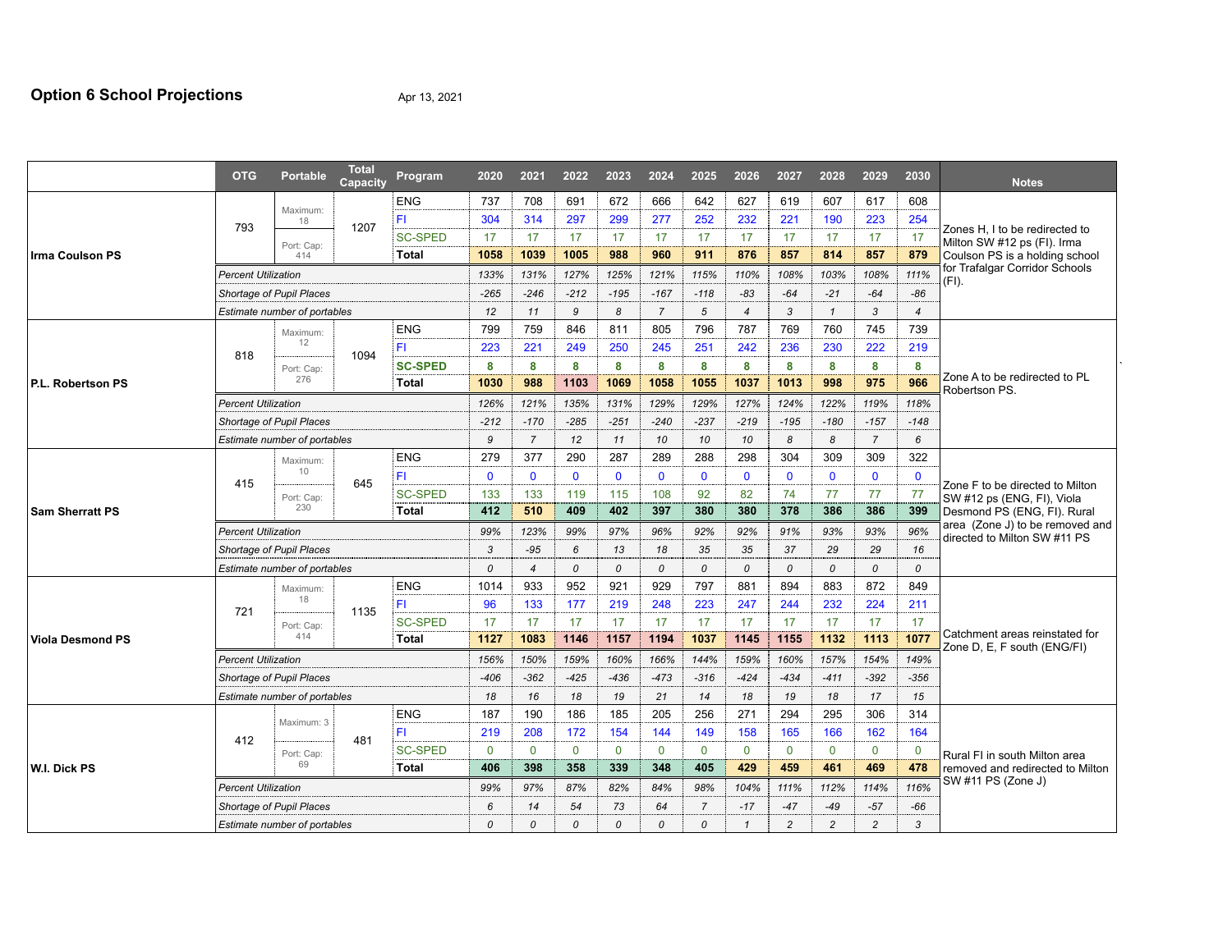## **Option 6 School Projections** Apr 13, 2021

|                         | <b>OTG</b>                   | <b>Portable</b>              | <b>Total</b><br>Capacity | Program        | 2020         | 2021           | 2022         | 2023          | 2024           | 2025           | 2026           | 2027           | 2028                                                            | 2029           | 2030           | <b>Notes</b>                                                  |  |  |  |
|-------------------------|------------------------------|------------------------------|--------------------------|----------------|--------------|----------------|--------------|---------------|----------------|----------------|----------------|----------------|-----------------------------------------------------------------|----------------|----------------|---------------------------------------------------------------|--|--|--|
|                         |                              | Maximum:                     |                          | <b>ENG</b>     | 737          | 708            | 691          | 672           | 666            | 642            | 627            | 619            | 607                                                             | 617            | 608            |                                                               |  |  |  |
|                         | 793                          | 18                           | 1207                     | ΈI             | 304          | 314            | 297          | 299           | 277            | 252            | 232            | 221            | 190                                                             | 223            | 254            |                                                               |  |  |  |
|                         |                              | Port: Cap:                   |                          | <b>SC-SPED</b> | 17           | 17             | 17           | 17            | 17             | 17             | 17             | 17             | 17                                                              | 17             | 17             | Zones H, I to be redirected to<br>Milton SW #12 ps (FI). Irma |  |  |  |
| Irma Coulson PS         |                              | 414                          |                          | <b>Total</b>   | 1058         | 1039           | 1005         | 988           | 960            | 911            | 876            | 857            | 814                                                             | 857            | 879            | Coulson PS is a holding school                                |  |  |  |
|                         | <b>Percent Utilization</b>   |                              |                          |                |              | 131%           | 127%         | 125%          | 121%           | 115%           | 110%           | 108%           | 103%                                                            | 108%           | 111%           | for Trafalgar Corridor Schools<br>(FI).                       |  |  |  |
|                         | Shortage of Pupil Places     |                              |                          |                | $-265$       | $-246$         | $-212$       | $-195$        | $-167$         | $-118$         | $-83$          | $-64$          | $-21$                                                           | $-64$          | $-86$          |                                                               |  |  |  |
|                         | Estimate number of portables |                              |                          |                | 12           | 11             | 9            | 8             | $\overline{7}$ | 5              | $\overline{4}$ | 3              | $\mathbf{1}$                                                    | 3              | $\overline{4}$ |                                                               |  |  |  |
|                         |                              | Maximum:                     |                          | ENG            | 799          | 759            | 846          | 811           | 805            | 796            | 787            | 769            | 760                                                             | 745            | 739            |                                                               |  |  |  |
|                         | 818                          | 12                           | 1094                     | F1             | 223          | 221            | 249          | 250           | 245            | 251            | 242            | 236            | 230                                                             | 222            | 219            |                                                               |  |  |  |
|                         |                              | Port: Cap:                   |                          | <b>SC-SPED</b> | 8            | 8              | 8            | 8             | 8              | 8              | 8              | 8              | 8                                                               | 8              | 8              |                                                               |  |  |  |
| I P.L. Robertson PS     |                              | 276                          |                          | Total          | 1030         | 988            | 1103         | 1069          | 1058           | 1055           | 1037           | 1013           | 998                                                             | 975            | 966            | Zone A to be redirected to PL<br>Robertson PS.                |  |  |  |
|                         | <b>Percent Utilization</b>   |                              |                          |                |              | 121%           | 135%         | 131%          | 129%           | 129%           | 127%           | 124%           | 122%                                                            | 119%           | 118%           |                                                               |  |  |  |
|                         | Shortage of Pupil Places     |                              |                          |                |              | $-170$         | $-285$       | $-251$        | $-240$         | $-237$         | $-219$         | $-195$         | $-180$                                                          | $-157$         | $-148$         |                                                               |  |  |  |
|                         |                              | Estimate number of portables |                          |                | 9            | $\overline{7}$ | 12           | 11            | 10             | 10             | 10             | 8              | 8                                                               | $\overline{7}$ | 6              |                                                               |  |  |  |
|                         |                              | Maximum:                     |                          | <b>ENG</b>     | 279          | 377            | 290          | 287           | 289            | 288            | 298            | 304            | 309                                                             | 309            | 322            |                                                               |  |  |  |
|                         | 415                          | 10                           | 645                      | ΈI             | $\mathbf{0}$ | $\Omega$       | $\mathbf{0}$ | $\mathbf{0}$  | $\Omega$       | $\mathbf{0}$   | $\mathbf{0}$   | $\mathbf{0}$   | $\mathbf{0}$                                                    | $\mathbf{0}$   | $\mathbf{0}$   | Zone F to be directed to Milton<br>SW #12 ps (ENG, FI), Viola |  |  |  |
|                         |                              | Port: Cap:                   |                          | <b>SC-SPED</b> | 133          | 133            | 119          | 115           | 108            | 92             | 82             | 74             | 77                                                              | 77             | 77             |                                                               |  |  |  |
| <b>Sam Sherratt PS</b>  |                              | 230                          |                          | <b>Total</b>   | 412          | 510            | 409          | 402           | 397            | 380            | 380            | 378            | 386                                                             | 386            | 399            | Desmond PS (ENG, FI). Rural                                   |  |  |  |
|                         | <b>Percent Utilization</b>   | 99%                          | 123%                     | 99%            | 97%          | 96%            | 92%          | 92%           | 91%            | 93%            | 93%            | 96%            | area (Zone J) to be removed and<br>directed to Milton SW #11 PS |                |                |                                                               |  |  |  |
|                         | Shortage of Pupil Places     | 3                            | $-95$                    | 6              | 13           | 18             | 35           | 35            | 37             | 29             | 29             | 16             |                                                                 |                |                |                                                               |  |  |  |
|                         | Estimate number of portables |                              |                          |                | 0            | $\overline{4}$ | 0            | 0             | 0              | 0              | 0              | 0              | 0                                                               | 0              | 0              |                                                               |  |  |  |
|                         |                              | Maximum:                     | 1135                     | <b>ENG</b>     | 1014         | 933            | 952          | 921           | 929            | 797            | 881            | 894            | 883                                                             | 872            | 849            |                                                               |  |  |  |
|                         | 721                          | 18                           |                          | ΈI             | 96           | 133            | 177          | 219           | 248            | 223            | 247            | 244            | 232                                                             | 224            | 211            |                                                               |  |  |  |
|                         |                              | Port: Cap:                   |                          | <b>SC-SPED</b> | 17           | 17             | 17           | 17            | 17             | 17             | 17             | 17             | 17                                                              | 17             | 17             |                                                               |  |  |  |
| <b>Viola Desmond PS</b> |                              | 414                          |                          | Total          | 1127         | 1083           | 1146         | 1157          | 1194           | 1037           | 1145           | 1155           | 1132                                                            | 1113           | 1077           | Catchment areas reinstated for<br>Zone D, E, F south (ENG/FI) |  |  |  |
|                         |                              | <b>Percent Utilization</b>   |                          |                |              |                | 159%         | 160%          | 166%           | 144%           | 159%           | 160%           | 157%                                                            | 154%           | 149%           |                                                               |  |  |  |
|                         | Shortage of Pupil Places     |                              |                          |                |              | $-362$         | $-425$       | $-436$        | $-473$         | $-316$         | $-424$         | $-434$         | $-411$                                                          | $-392$         | $-356$         |                                                               |  |  |  |
|                         | Estimate number of portables |                              |                          |                |              | 16             | 18           | 19            | 21             | 14             | 18             | 19             | 18                                                              | 17             | 15             |                                                               |  |  |  |
| W.I. Dick PS            |                              | Maximum: 3                   |                          | <b>ENG</b>     | 187          | 190            | 186          | 185           | 205            | 256            | 271            | 294            | 295                                                             | 306            | 314            |                                                               |  |  |  |
|                         | 412                          |                              | 481                      | FI             | 219          | 208            | 172          | 154           | 144            | 149            | 158            | 165            | 166                                                             | 162            | 164            |                                                               |  |  |  |
|                         |                              | Port: Cap:                   |                          | <b>SC-SPED</b> | $\mathbf{0}$ | $\mathbf{0}$   | $\Omega$     | $\mathbf{0}$  | $\Omega$       | $\mathbf{0}$   | $\Omega$       | $\mathbf 0$    | $\mathbf{0}$                                                    | $\mathbf 0$    | 0              | Rural FI in south Milton area                                 |  |  |  |
|                         |                              | 69                           |                          | Total          | 406          | 398            | 358          | 339           | 348            | 405            | 429            | 459            | 461                                                             | 469            | 478            | removed and redirected to Milton                              |  |  |  |
|                         | <b>Percent Utilization</b>   |                              |                          |                | 99%          | 97%            | 87%          | 82%           | 84%            | 98%            | 104%           | 111%           | 112%                                                            | 114%           | 116%           | SW #11 PS (Zone J)                                            |  |  |  |
|                         |                              | Shortage of Pupil Places     |                          |                | 6            | 14             | 54           | 73            | 64             | $\overline{7}$ | $-17$          | $-47$          | $-49$                                                           | $-57$          | $-66$          |                                                               |  |  |  |
|                         | Estimate number of portables |                              |                          |                |              | 0              | $\Omega$     | $\mathcal{O}$ | $\Omega$       | $\mathcal{O}$  | $\mathbf{1}$   | $\overline{c}$ | $\mathfrak{p}$                                                  | $\overline{c}$ | $\overline{3}$ |                                                               |  |  |  |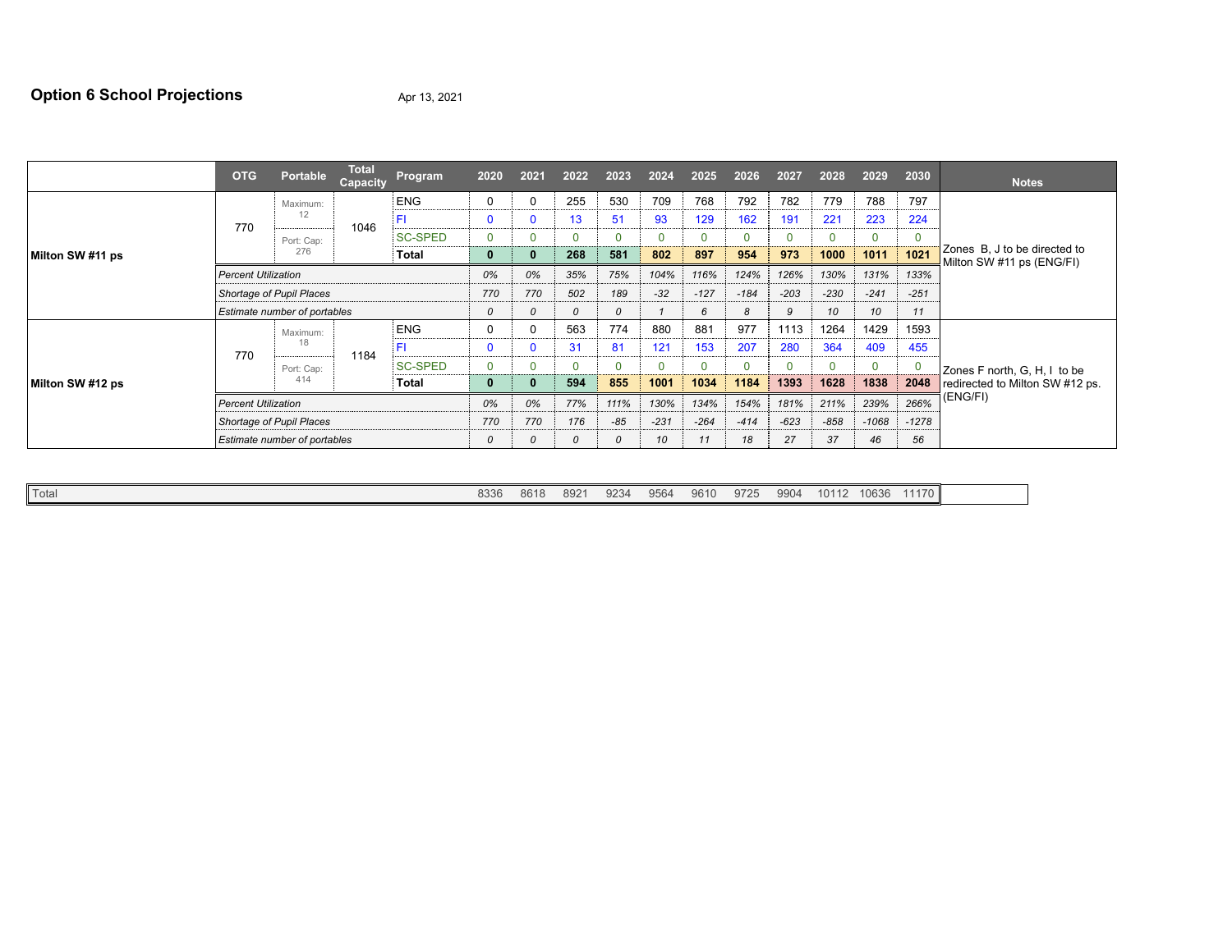## **Option 6 School Projections** Apr 13, 2021

|                  | <b>OTG</b>                          | <b>Portable</b>  | <b>Total</b><br>Capacity | Program        | 2020         | 2021     | 2022  | 2023     | 2024   | 2025     | 2026   | 2027         | 2028     | 2029        | 2030     | <b>Notes</b>                                              |  |
|------------------|-------------------------------------|------------------|--------------------------|----------------|--------------|----------|-------|----------|--------|----------|--------|--------------|----------|-------------|----------|-----------------------------------------------------------|--|
|                  |                                     | Maximum:         |                          | <b>ENG</b>     |              | 0        | 255   | 530      | 709    | 768      | 792    | 782          | 779      | 788         | 797      |                                                           |  |
|                  | 770                                 | 12               | 1046                     | FI             | $\mathbf{0}$ | C        | 13    | 51       | 93     | 129      | 162    | 191          | 221      | 223         | 224      |                                                           |  |
|                  |                                     | Port: Cap:       |                          | <b>SC-SPED</b> |              | 0        |       | $\Omega$ |        | $\Omega$ | 0      | $\mathbf{0}$ |          | $\mathbf 0$ |          |                                                           |  |
| Milton SW #11 ps |                                     | 276              |                          | Total          | 0            |          | 268   | 581      | 802    | 897      | 954    | 973          | 1000     | 1011        | 1021     | Zones B, J to be directed to<br>Milton SW #11 ps (ENG/FI) |  |
|                  | <b>Percent Utilization</b>          |                  |                          |                |              | 0%       | 35%   | 75%      | 104%   | 116%     | 124%   | 126%         | 130%     | 131%        | 133%     |                                                           |  |
|                  | Shortage of Pupil Places            |                  |                          |                | 770          | 770      | 502   | 189      | $-32$  | $-127$   | $-184$ | $-203$       | $-230$   | $-241$      | $-251$   |                                                           |  |
|                  | Estimate number of portables        |                  |                          |                | 0            | $\Omega$ | 0     | 0        |        | 6        | 8      | 9            | 10       | 10          | 11       |                                                           |  |
|                  | Maximum:                            |                  |                          | <b>ENG</b>     | 0            | 0        | 563   | 774      | 880    | 881      | 977    | 1113         | 1264     | 1429        | 1593     |                                                           |  |
|                  | 770                                 | 18<br>Port: Cap: | 1184                     | FI             | $\Omega$     | 0        | 31    | 81       | 121    | 153      | 207    | 280          | 364      | 409         | 455      |                                                           |  |
| Milton SW #12 ps |                                     |                  |                          | <b>SC-SPED</b> | 0            | $\Omega$ |       | $\Omega$ |        | $\Omega$ |        | $\mathbf{0}$ | $\Omega$ | $\mathbf 0$ |          | Zones F north, G, H, I to be                              |  |
|                  | 414<br>Total                        |                  |                          |                | 0            | ю        | 594   | 855      | 1001   | 1034     | 1184   | 1393         | 1628     | 1838        | 2048     | redirected to Milton SW #12 ps.                           |  |
|                  | <b>Percent Utilization</b>          |                  |                          | 0%             | 0%           | 77%      | 111%  | 130%     | 134%   | 154%     | 181%   | 211%         | 239%     | 266%        | (ENG/FI) |                                                           |  |
|                  | Shortage of Pupil Places            |                  |                          | 770            | 770          | 176      | $-85$ | $-231$   | $-264$ | $-414$   | $-623$ | $-858$       | $-1068$  | $-1278$     |          |                                                           |  |
|                  | <b>Estimate number of portables</b> |                  |                          |                |              | 0        | 0     | 0        | 10     | 11       | 18     | 27           | 37       | 46          | 56       |                                                           |  |

|--|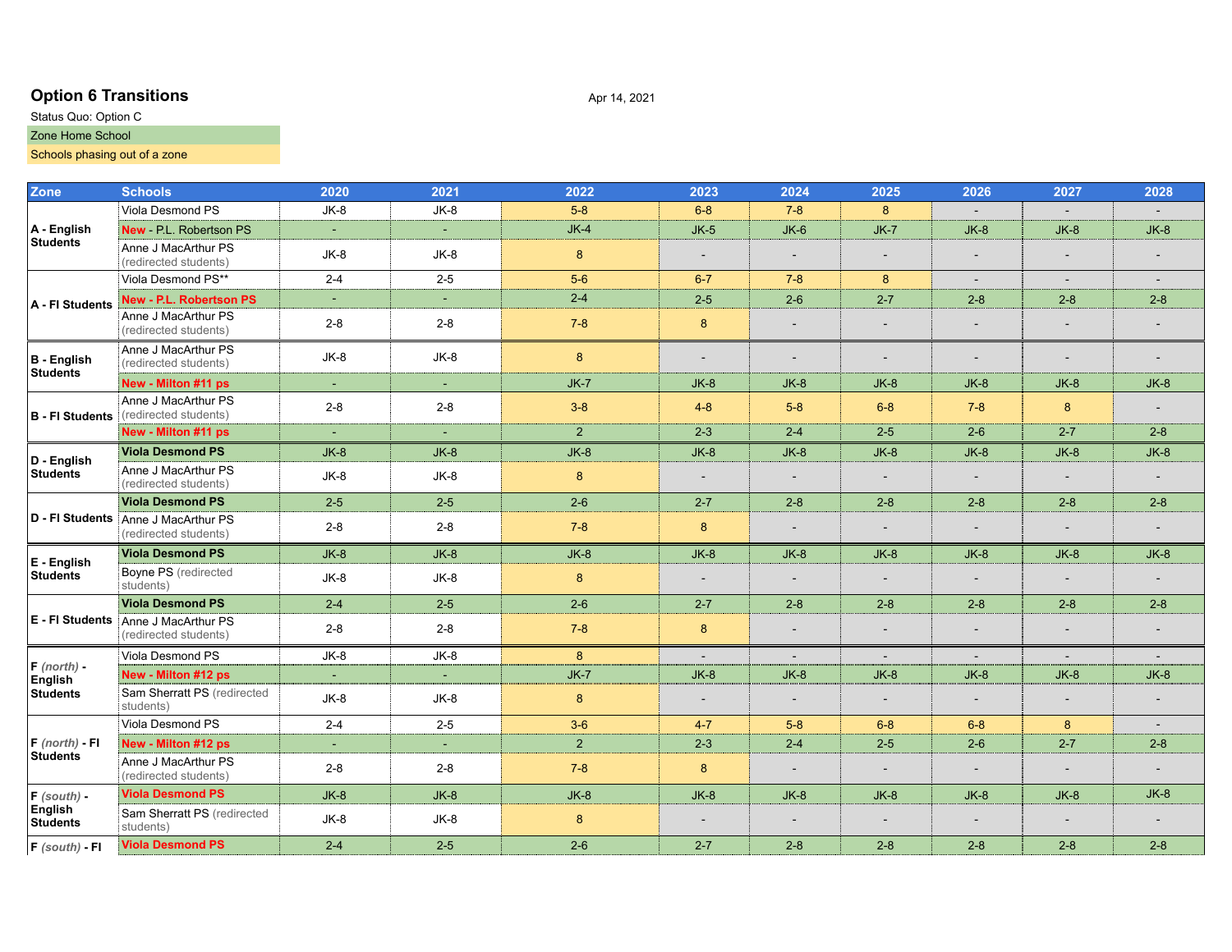## **Option 6 Transitions** Apr 14, 2021

### Status Quo: Option C Zone Home School

## Schools phasing out of a zone

| <b>Zone</b>                           | <b>Schools</b>                                                      | 2020                        | 2021           | 2022           | 2023                     | 2024                     | 2025                     | 2026                     | 2027                     | 2028                     |
|---------------------------------------|---------------------------------------------------------------------|-----------------------------|----------------|----------------|--------------------------|--------------------------|--------------------------|--------------------------|--------------------------|--------------------------|
|                                       | Viola Desmond PS                                                    | $JK-8$                      | $JK-8$         | $5-8$          | $6 - 8$                  | $7 - 8$                  | 8                        |                          |                          |                          |
| A - English                           | New - P.L. Robertson PS                                             | $\sim$                      | $\sim$         | $JK-4$         | $JK-5$                   | $JK-6$                   | $JK-7$                   | $JK-8$                   | $JK-8$                   | $JK-8$                   |
| <b>Students</b>                       | Anne J MacArthur PS<br>(redirected students)                        | $JK-8$                      | JK-8           | 8              | $\overline{\phantom{a}}$ |                          | $\overline{\phantom{a}}$ | $\sim$                   | $\overline{\phantom{a}}$ |                          |
|                                       | Viola Desmond PS**                                                  | $2 - 4$                     | $2 - 5$        | $5-6$          | $6 - 7$                  | $7 - 8$                  | 8                        | $\overline{\phantom{a}}$ | $\overline{\phantom{a}}$ | $\overline{\phantom{a}}$ |
| A - FI Students                       | New - P.L. Robertson PS                                             | $\sim$                      | $\sim$         | $2 - 4$        | $2 - 5$                  | $2-6$                    | $2 - 7$                  | $2 - 8$                  | $2 - 8$                  | $2 - 8$                  |
|                                       | Anne J MacArthur PS<br>(redirected students)                        | $2 - 8$                     | $2 - 8$        | $7 - 8$        | 8                        |                          | $\sim$                   | $\sim$                   | $\blacksquare$           |                          |
| <b>B</b> - English<br><b>Students</b> | Anne J MacArthur PS<br>(redirected students)                        | $JK-8$                      | $JK-8$         | 8              | $\sim$                   | $\sim$                   | $\overline{\phantom{a}}$ | $\overline{\phantom{a}}$ | $\overline{\phantom{a}}$ |                          |
|                                       | New - Milton #11 ps                                                 | $\omega$                    | $\sim$         | $JK-7$         | $JK-8$                   | $JK-8$                   | $JK-8$                   | $JK-8$                   | $JK-8$                   | $JK-8$                   |
| <b>B</b> - FI Students                | Anne J MacArthur PS<br>(redirected students)                        | $2 - 8$                     | $2 - 8$        | $3 - 8$        | $4 - 8$                  | $5-8$                    | $6 - 8$                  | $7 - 8$                  | 8                        |                          |
|                                       | New - Milton #11 ps                                                 |                             |                | 2 <sup>1</sup> | $2 - 3$                  | $2 - 4$                  | $2 - 5$                  | $2 - 6$                  | $2 - 7$                  | $2 - 8$                  |
| D - English                           | <b>Viola Desmond PS</b>                                             | $JK-8$                      | $JK-8$         | $JK-8$         | $JK-8$                   | $JK-8$                   | $JK-8$                   | $JK-8$                   | $JK-8$                   | $JK-8$                   |
| <b>Students</b>                       | Anne J MacArthur PS<br>(redirected students)                        | $JK-8$                      | $JK-8$         | $\bf 8$        | $\sim$                   | $\overline{\phantom{a}}$ | $\sim$                   | $\blacksquare$           | $\sim$                   |                          |
|                                       | <b>Viola Desmond PS</b>                                             | $2 - 5$                     | $2 - 5$        | $2 - 6$        | $2 - 7$                  | $2 - 8$                  | $2 - 8$                  | $2 - 8$                  | $2 - 8$                  | $2 - 8$                  |
|                                       | D - FI Students Anne J MacArthur PS<br>(redirected students)        | $2 - 8$                     | $2 - 8$        | $7 - 8$        | $\bf 8$                  |                          |                          | $\sim$                   | $\overline{\phantom{a}}$ |                          |
| $E -$ English                         | Viola Desmond PS                                                    | $JK-8$                      | $JK-8$         | $JK-8$         | $JK-8$                   | $JK-8$                   | $JK-8$                   | $JK-8$                   | $JK-8$                   | $JK-8$                   |
| <b>Students</b>                       | Boyne PS (redirected<br>students)                                   | $JK-8$                      | $JK-8$         | 8              |                          |                          |                          |                          |                          |                          |
|                                       | <b>Viola Desmond PS</b>                                             | $2 - 4$                     | $2 - 5$        | $2 - 6$        | $2 - 7$                  | $2 - 8$                  | $2 - 8$                  | $2 - 8$                  | $2 - 8$                  | $2 - 8$                  |
|                                       | <b>E</b> - FI Students Anne J MacArthur PS<br>(redirected students) | $2 - 8$                     | $2 - 8$        | $7 - 8$        | 8                        |                          |                          | $\overline{\phantom{a}}$ | $\overline{\phantom{a}}$ |                          |
| $F$ (north) -                         | Viola Desmond PS                                                    | $JK-8$                      | $JK-8$         | 8              | $\sim$                   | $\sim$                   | $\sim$                   | $\sim$                   | $\blacksquare$           | $\sim$                   |
| English                               | New - Milton #12 ps                                                 | $\mathcal{L}_{\mathcal{A}}$ | $\blacksquare$ | $JK-7$         | $JK-8$                   | $JK-8$                   | $JK-8$                   | $JK-8$                   | $JK-8$                   | $JK-8$                   |
| <b>Students</b>                       | Sam Sherratt PS (redirected<br>students)                            | $JK-8$                      | $JK-8$         | 8              | $\overline{\phantom{a}}$ | $\overline{\phantom{a}}$ | $\overline{\phantom{a}}$ | $\overline{\phantom{a}}$ | $\overline{\phantom{a}}$ |                          |
|                                       | Viola Desmond PS                                                    | $2 - 4$                     | $2 - 5$        | $3-6$          | $4 - 7$                  | $5-8$                    | $6 - 8$                  | $6 - 8$                  | 8                        |                          |
| $F$ (north) - FI                      | New - Milton #12 ps                                                 | $\sim$                      | $\blacksquare$ | 2 <sup>2</sup> | $2 - 3$                  | $2 - 4$                  | $2 - 5$                  | $2 - 6$                  | $2 - 7$                  | $2 - 8$                  |
| <b>Students</b>                       | Anne J MacArthur PS<br>(redirected students)                        | $2 - 8$                     | $2 - 8$        | $7 - 8$        | $\bf 8$                  | $\overline{\phantom{a}}$ | $\overline{\phantom{a}}$ | $\overline{\phantom{a}}$ | $\overline{\phantom{a}}$ |                          |
| $F$ (south) -                         | <b>Viola Desmond PS</b>                                             | $JK-8$                      | $JK-8$         | $JK-8$         | $JK-8$                   | $JK-8$                   | $JK-8$                   | $JK-8$                   | $JK-8$                   | $JK-8$                   |
| English<br><b>Students</b>            | Sam Sherratt PS (redirected<br>students)                            | $JK-8$                      | $JK-8$         | 8              |                          |                          |                          | $\overline{\phantom{a}}$ | $\overline{\phantom{a}}$ |                          |
| $F$ (south) - FI                      | <b>Viola Desmond PS</b>                                             | $2 - 4$                     | $2 - 5$        | $2 - 6$        | $2 - 7$                  | $2 - 8$                  | $2 - 8$                  | $2 - 8$                  | $2 - 8$                  | $2 - 8$                  |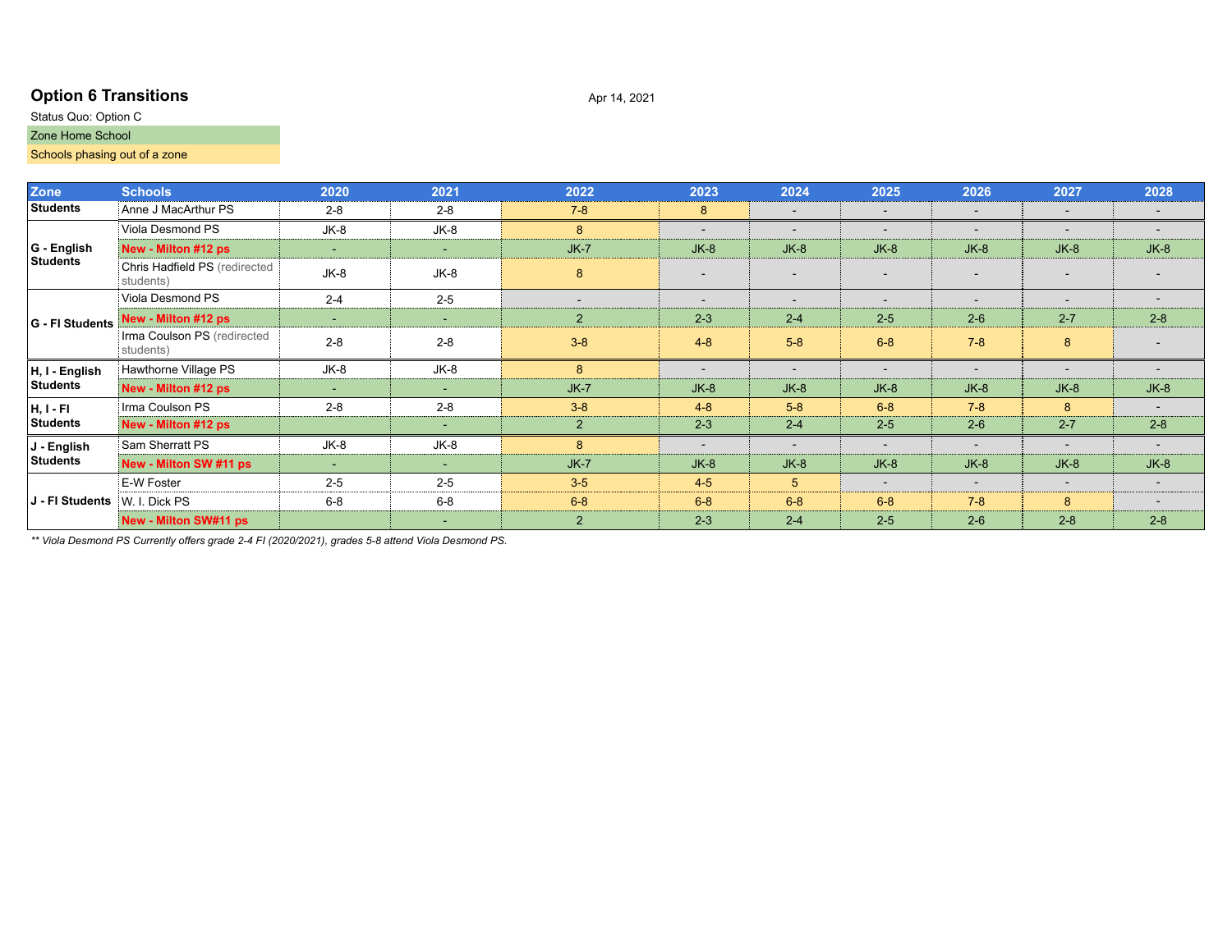## **Option 6 Transitions** Apr 14, 2021

### Status Quo: Option C Zone Home School

## Schools phasing out of a zone

| Zone                          | <b>Schools</b>                             | 2020    | 2021    | 2022           | 2023                     | 2024           | 2025                     | 2026                     | 2027                     | 2028                     |
|-------------------------------|--------------------------------------------|---------|---------|----------------|--------------------------|----------------|--------------------------|--------------------------|--------------------------|--------------------------|
| <b>Students</b>               | Anne J MacArthur PS                        | $2 - 8$ | $2 - 8$ | $7-8$          | 8                        | $\sim$         | $\overline{\phantom{a}}$ | $\overline{\phantom{a}}$ | $\overline{\phantom{a}}$ | $\overline{\phantom{a}}$ |
|                               | Viola Desmond PS                           | JK-8    | $JK-8$  | 8              | $\overline{\phantom{a}}$ | $\sim$         | $\overline{\phantom{a}}$ | $\overline{\phantom{a}}$ | $\overline{\phantom{a}}$ | $\overline{\phantom{a}}$ |
| G - English                   | New - Milton #12 ps                        | and the | $\sim$  | $JK-7$         | $JK-8$                   | $JK-8$         | $JK-8$                   | $JK-8$                   | $JK-8$                   | $JK-8$                   |
| <b>Students</b>               | Chris Hadfield PS (redirected<br>students) | $JK-8$  | $JK-8$  | 8              | $\overline{a}$           |                |                          | $\overline{\phantom{a}}$ |                          |                          |
|                               | Viola Desmond PS                           | $2 - 4$ | $2 - 5$ |                |                          |                |                          | $\overline{\phantom{0}}$ |                          |                          |
| G - FI Students               | New - Milton #12 ps                        | ۰.      | $\sim$  | 2              | $2 - 3$                  | $2 - 4$        | $2 - 5$                  | $2 - 6$                  | $2 - 7$                  | $2 - 8$                  |
|                               | Irma Coulson PS (redirected<br>students)   | $2 - 8$ | $2 - 8$ | $3 - 8$        | $4 - 8$                  | $5 - 8$        | $6 - 8$                  | $7 - 8$                  | 8                        |                          |
| H, I - English                | Hawthorne Village PS                       | JK-8    | $JK-8$  | 8              | $\sim$                   | $\overline{a}$ | $\overline{\phantom{a}}$ | $\sim$                   | $\overline{\phantom{0}}$ | $\overline{a}$           |
| <b>Students</b>               | New - Milton #12 ps                        | ۰.      | $\sim$  | $JK-7$         | $JK-8$                   | $JK-8$         | $JK-8$                   | $JK-8$                   | $JK-8$                   | $JK-8$                   |
| H, I - FI                     | Irma Coulson PS                            | $2 - 8$ | $2 - 8$ | $3 - 8$        | $4 - 8$                  | $5 - 8$        | $6 - 8$                  | $7 - 8$                  | 8                        | $\sim$                   |
| <b>Students</b>               | New - Milton #12 ps                        |         | $\sim$  | $\overline{2}$ | $2 - 3$                  | $2 - 4$        | $2 - 5$                  | $2-6$                    | $2 - 7$                  | $2 - 8$                  |
| J - English                   | Sam Sherratt PS                            | JK-8    | $JK-8$  | 8              | $\overline{a}$           | $\overline{a}$ | $\overline{\phantom{a}}$ | $\overline{\phantom{a}}$ | $\overline{a}$           | $\sim$                   |
| <b>Students</b>               | New - Milton SW #11 ps                     | $\sim$  | $\sim$  | $JK-7$         | $JK-8$                   | $JK-8$         | $JK-8$                   | $JK-8$                   | $JK-8$                   | $JK-8$                   |
|                               | E-W Foster                                 | $2 - 5$ | $2 - 5$ | $3-5$          | $4 - 5$                  | 5              | $\overline{\phantom{a}}$ | $\overline{\phantom{a}}$ | $\overline{\phantom{a}}$ |                          |
| J - FI Students W. I. Dick PS |                                            | $6-8$   | $6 - 8$ | $6 - 8$        | $6 - 8$                  | $6 - 8$        | $6 - 8$                  | $7 - 8$                  | 8                        |                          |
|                               | New - Milton SW#11 ps                      |         | $\sim$  | $\overline{2}$ | $2 - 3$                  | $2 - 4$        | $2 - 5$                  | $2 - 6$                  | $2 - 8$                  | $2 - 8$                  |

*\*\* Viola Desmond PS Currently offers grade 2-4 FI (2020/2021), grades 5-8 attend Viola Desmond PS.*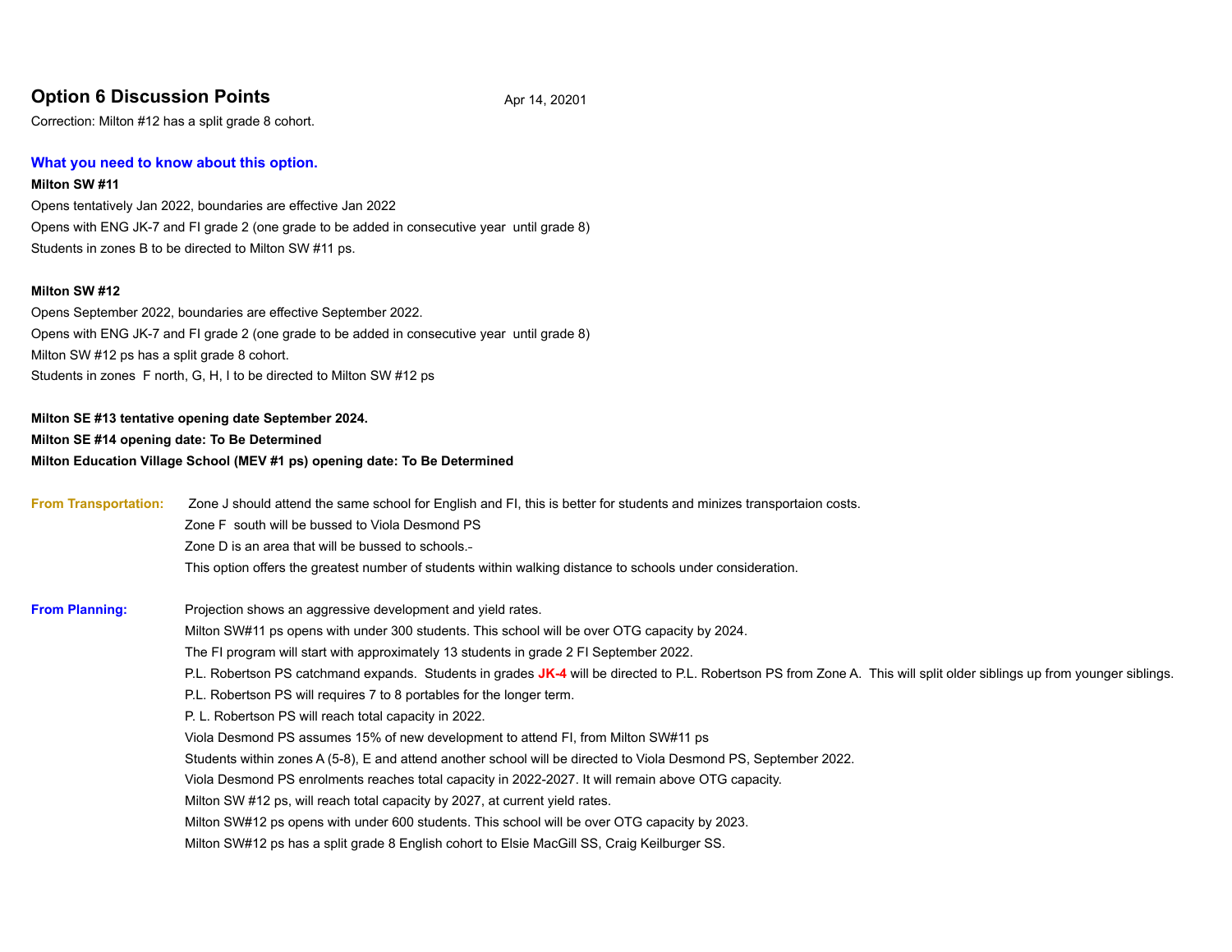## **Option 6 Discussion Points** Apr 14, 20201

Correction: Milton #12 has a split grade 8 cohort.

#### **What you need to know about this option.**

#### **Milton SW #11**

Opens tentatively Jan 2022, boundaries are effective Jan 2022 Opens with ENG JK-7 and FI grade 2 (one grade to be added in consecutive year until grade 8) Students in zones B to be directed to Milton SW #11 ps.

#### **Milton SW #12**

Opens September 2022, boundaries are effective September 2022. Opens with ENG JK-7 and FI grade 2 (one grade to be added in consecutive year until grade 8) Milton SW #12 ps has a split grade 8 cohort. Students in zones F north, G, H, I to be directed to Milton SW #12 ps

## **Milton SE #13 tentative opening date September 2024. Milton SE #14 opening date: To Be Determined Milton Education Village School (MEV #1 ps) opening date: To Be Determined**

| <b>From Transportation:</b> | Zone J should attend the same school for English and FI, this is better for students and minizes transportaion costs.                                                    |  |  |  |  |  |  |  |  |  |
|-----------------------------|--------------------------------------------------------------------------------------------------------------------------------------------------------------------------|--|--|--|--|--|--|--|--|--|
|                             | Zone F south will be bussed to Viola Desmond PS                                                                                                                          |  |  |  |  |  |  |  |  |  |
|                             | Zone D is an area that will be bussed to schools.-                                                                                                                       |  |  |  |  |  |  |  |  |  |
|                             | This option offers the greatest number of students within walking distance to schools under consideration.                                                               |  |  |  |  |  |  |  |  |  |
| <b>From Planning:</b>       | Projection shows an aggressive development and yield rates.                                                                                                              |  |  |  |  |  |  |  |  |  |
|                             | Milton SW#11 ps opens with under 300 students. This school will be over OTG capacity by 2024.                                                                            |  |  |  |  |  |  |  |  |  |
|                             | The FI program will start with approximately 13 students in grade 2 FI September 2022.                                                                                   |  |  |  |  |  |  |  |  |  |
|                             | P.L. Robertson PS catchmand expands. Students in grades JK-4 will be directed to P.L. Robertson PS from Zone A. This will split older siblings up from younger siblings. |  |  |  |  |  |  |  |  |  |
|                             | P.L. Robertson PS will requires 7 to 8 portables for the longer term.                                                                                                    |  |  |  |  |  |  |  |  |  |
|                             | P. L. Robertson PS will reach total capacity in 2022.                                                                                                                    |  |  |  |  |  |  |  |  |  |
|                             | Viola Desmond PS assumes 15% of new development to attend FI, from Milton SW#11 ps                                                                                       |  |  |  |  |  |  |  |  |  |
|                             | Students within zones A (5-8), E and attend another school will be directed to Viola Desmond PS, September 2022.                                                         |  |  |  |  |  |  |  |  |  |
|                             | Viola Desmond PS enrolments reaches total capacity in 2022-2027. It will remain above OTG capacity.                                                                      |  |  |  |  |  |  |  |  |  |
|                             | Milton SW #12 ps, will reach total capacity by 2027, at current yield rates.                                                                                             |  |  |  |  |  |  |  |  |  |
|                             | Milton SW#12 ps opens with under 600 students. This school will be over OTG capacity by 2023.                                                                            |  |  |  |  |  |  |  |  |  |
|                             | Milton SW#12 ps has a split grade 8 English cohort to Elsie MacGill SS, Craig Keilburger SS.                                                                             |  |  |  |  |  |  |  |  |  |